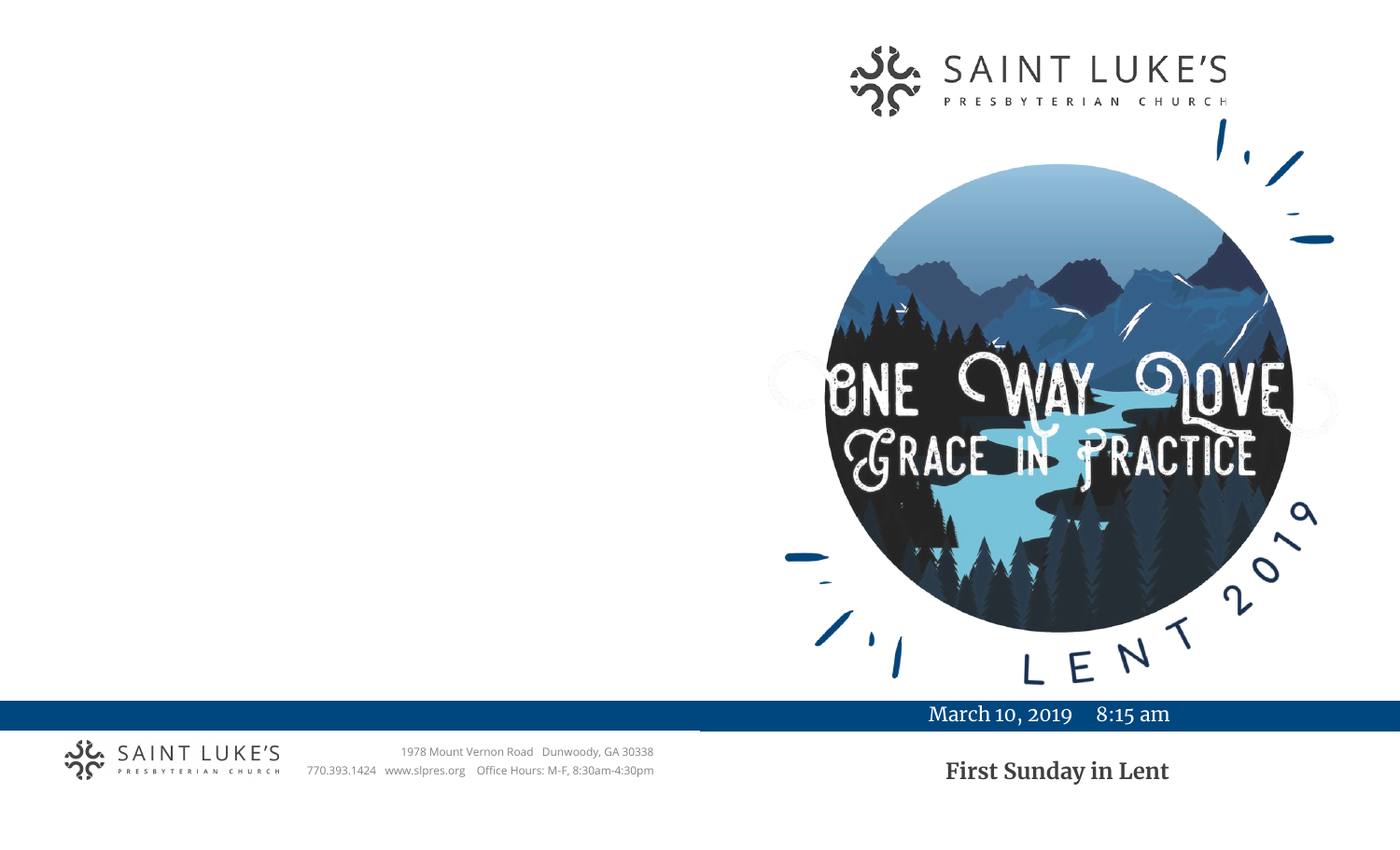

# March 10, 2019 8:15 am



1978 Mount Vernon Road Dunwoody, GA 30338 770.393.1424 www.slpres.org Office Hours: M-F, 8:30am-4:30pm

**First Sunday in Lent**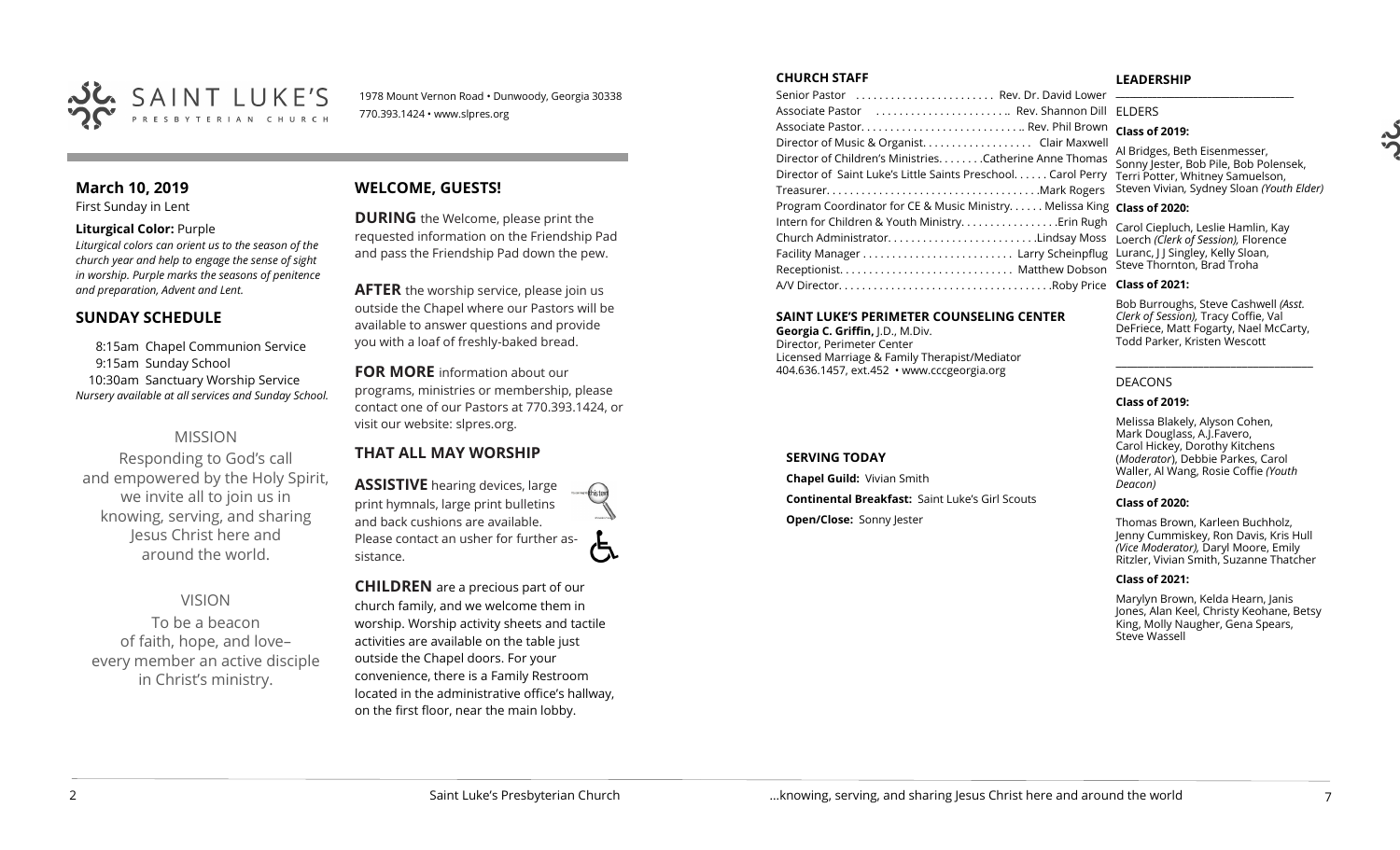

1978 Mount Vernon Road • Dunwoody, Georgia 30338 770.393.1424 • www.slpres.org

# **March 10, 2019**

First Sunday in Lent

### **Liturgical Color:** Purple

*Liturgical colors can orient us to the season of the church year and help to engage the sense of sight in worship. Purple marks the seasons of penitence and preparation, Advent and Lent.*

# **SUNDAY SCHEDULE**

8:15am Chapel Communion Service 9:15am Sunday School 10:30am Sanctuary Worship Service *Nursery available at all services and Sunday School.* 

# MISSION

Responding to God's call and empowered by the Holy Spirit, we invite all to join us in knowing, serving, and sharing Jesus Christ here and around the world.

VISION To be a beacon of faith, hope, and love– every member an active disciple

in Christ's ministry.

# **WELCOME, GUESTS!**

**DURING** the Welcome, please print the requested information on the Friendship Pad and pass the Friendship Pad down the pew.

**AFTER** the worship service, please join us outside the Chapel where our Pastors will be available to answer questions and provide you with a loaf of freshly-baked bread.

**FOR MORE** information about our programs, ministries or membership, please contact one of our Pastors at 770.393.1424, or visit our website: slpres.org.

# **THAT ALL MAY WORSHIP**

**ASSISTIVE** hearing devices, large print hymnals, large print bulletins and back cushions are available. Please contact an usher for further assistance.

**CHILDREN** are a precious part of our church family, and we welcome them in worship. Worship activity sheets and tactile activities are available on the table just outside the Chapel doors. For your convenience, there is a Family Restroom located in the administrative office's hallway, on the first floor, near the main lobby.

#### **CHURCH STAFF**

Senior Pastor . . . . . . . . . . . . . . . . . . . . . . . . Rev. Dr. David Lower Associate Pastor . . . . . . . . . . . . . . . . . . . . . . .. Rev. Shannon Dill Associate Pastor. . . . . . . . . . . . . . . . . . . . . . . . . . . .. Rev. Phil Brown Director of Music & Organist. . . . . . . . . . . . . . . . . . . Clair Maxwell Director of Children's Ministries. . . . . . . .Catherine Anne Thomas Director of Saint Luke's Little Saints Preschool. . . . . . Carol Perry Treasurer. . . . . . . . . . . . . . . . . . . . . . . . . . . . . . . . . . . . .Mark Rogers Program Coordinator for CE & Music Ministry. . . . . . Melissa King **Class of 2020:** Intern for Children & Youth Ministry. . . . . . . . . . . . . . . . .Erin Rugh Church Administrator. . . . . . . . . . . . . . . . . . . . . . . . . .Lindsay Moss Loerch *(Clerk of Session),* Florence Facility Manager . . . . . . . . . . . . . . . . . . . . . . . . . . Larry Scheinpflug Luranc, J J Singley, Kelly Sloan, Receptionist. . . . . . . . . . . . . . . . . . . . . . . . . . . . . . Matthew Dobson A/V Director. . . . . . . . . . . . . . . . . . . . . . . . . . . . . . . . . . . . .Roby Price **Class of 2021: \_\_\_\_\_\_\_\_\_\_\_\_\_\_\_\_\_\_\_\_\_\_\_\_\_\_\_\_\_\_\_\_\_\_\_\_\_\_\_** ELDERS

### **SAINT LUKE'S PERIMETER COUNSELING CENTER**

**Georgia C. Griffin,** J.D., M.Div. Director, Perimeter Center Licensed Marriage & Family Therapist/Mediator 404.636.1457, ext.452 • www.cccgeorgia.org

### **SERVING TODAY**

**Chapel Guild:** Vivian Smith

**Continental Breakfast:** Saint Luke's Girl Scouts

**Open/Close: Sonny Jester** 

#### **LEADERSHIP**

**Class of 2019:**

Al Bridges, Beth Eisenmesser, Sonny Jester, Bob Pile, Bob Polensek, Terri Potter, Whitney Samuelson, Steven Vivian*,* Sydney Sloan *(Youth Elder)*

Carol Ciepluch, Leslie Hamlin, Kay Steve Thornton, Brad Troha

Bob Burroughs, Steve Cashwell *(Asst. Clerk of Session),* Tracy Coffie, Val DeFriece, Matt Fogarty, Nael McCarty, Todd Parker, Kristen Wescott

\_\_\_\_\_\_\_\_\_\_\_\_\_\_\_\_\_\_\_\_\_\_\_\_\_\_\_\_\_\_\_\_\_\_\_\_

### DEACONS

### **Class of 2019:**

Melissa Blakely, Alyson Cohen, Mark Douglass, A.J.Favero, Carol Hickey, Dorothy Kitchens (*Moderator*), Debbie Parkes, Carol Waller, Al Wang, Rosie Coffie *(Youth Deacon)* 

#### **Class of 2020:**

Thomas Brown, Karleen Buchholz, Jenny Cummiskey, Ron Davis, Kris Hull *(Vice Moderator),* Daryl Moore, Emily Ritzler, Vivian Smith, Suzanne Thatcher

#### **Class of 2021:**

Marylyn Brown, Kelda Hearn, Janis Jones, Alan Keel, Christy Keohane, Betsy King, Molly Naugher, Gena Spears, Steve Wassell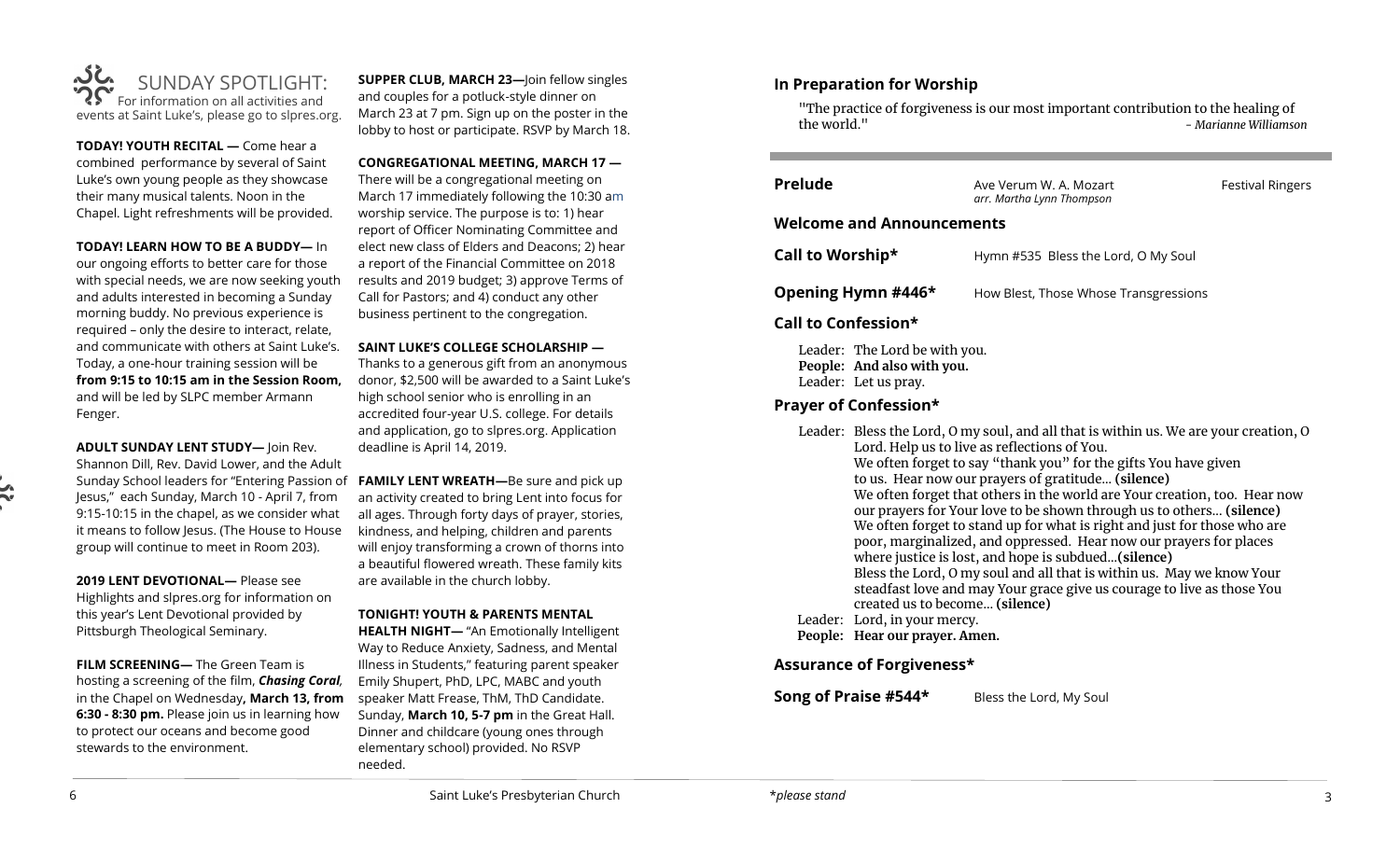

**TODAY! YOUTH RECITAL —** Come hear a combined performance by several of Saint Luke's own young people as they showcase their many musical talents. Noon in the Chapel. Light refreshments will be provided.

**TODAY! LEARN HOW TO BE A BUDDY—** In

our ongoing efforts to better care for those with special needs, we are now seeking youth and adults interested in becoming a Sunday morning buddy. No previous experience is required – only the desire to interact, relate, and communicate with others at Saint Luke's. Today, a one-hour training session will be **from 9:15 to 10:15 am in the Session Room,**  and will be led by SLPC member Armann Fenger.

**ADULT SUNDAY LENT STUDY—** Join Rev. Shannon Dill, Rev. David Lower, and the Adult Jesus," each Sunday, March 10 - April 7, from 9:15-10:15 in the chapel, as we consider what it means to follow Jesus. (The House to House group will continue to meet in Room 203).

**2019 LENT DEVOTIONAL—** Please see Highlights and slpres.org for information on this year's Lent Devotional provided by Pittsburgh Theological Seminary.

**FILM SCREENING—** The Green Team is hosting a screening of the film, *Chasing Coral,* in the Chapel on Wednesday**, March 13, from 6:30 - 8:30 pm.** Please join us in learning how to protect our oceans and become good stewards to the environment.

**SUPPER CLUB, MARCH 23—**Join fellow singles and couples for a potluck-style dinner on March 23 at 7 pm. Sign up on the poster in the lobby to host or participate. RSVP by March 18.

**CONGREGATIONAL MEETING, MARCH 17 —** There will be a congregational meeting on March 17 immediately following the 10:30 am worship service. The purpose is to: 1) hear report of Officer Nominating Committee and elect new class of Elders and Deacons; 2) hear a report of the Financial Committee on 2018 results and 2019 budget; 3) approve Terms of Call for Pastors; and 4) conduct any other business pertinent to the congregation.

**SAINT LUKE'S COLLEGE SCHOLARSHIP —**

Thanks to a generous gift from an anonymous donor, \$2,500 will be awarded to a Saint Luke's high school senior who is enrolling in an accredited four-year U.S. college. For details and application, go to slpres.org. Application deadline is April 14, 2019.

Sunday School leaders for "Entering Passion of **FAMILY LENT WREATH—**Be sure and pick up an activity created to bring Lent into focus for all ages. Through forty days of prayer, stories, kindness, and helping, children and parents will enjoy transforming a crown of thorns into a beautiful flowered wreath. These family kits are available in the church lobby.

### **TONIGHT! YOUTH & PARENTS MENTAL**

**HEALTH NIGHT—** "An Emotionally Intelligent Way to Reduce Anxiety, Sadness, and Mental Illness in Students," featuring parent speaker Emily Shupert, PhD, LPC, MABC and youth speaker Matt Frease, ThM, ThD Candidate. Sunday, **March 10, 5-7 pm** in the Great Hall. Dinner and childcare (young ones through elementary school) provided. No RSVP needed.

## **In Preparation for Worship**

"The practice of forgiveness is our most important contribution to the healing of the world." *- Marianne Williamson* 

| <b>Prelude</b>                   | Ave Verum W. A. Mozart<br>arr. Martha Lynn Thompson | <b>Festival Ringers</b> |  |
|----------------------------------|-----------------------------------------------------|-------------------------|--|
| <b>Welcome and Announcements</b> |                                                     |                         |  |
| Call to Worship*                 | Hymn #535 Bless the Lord, O My Soul                 |                         |  |
| Opening Hymn #446*               | How Blest, Those Whose Transgressions               |                         |  |
|                                  |                                                     |                         |  |

**Call to Confession\***

Leader: The Lord be with you. **People: And also with you.**  Leader: Let us pray.

# **Prayer of Confession\***

| Leader: Bless the Lord, O my soul, and all that is within us. We are your creation, O |
|---------------------------------------------------------------------------------------|
| Lord. Help us to live as reflections of You.                                          |
| We often forget to say "thank you" for the gifts You have given                       |
| to us. Hear now our prayers of gratitude (silence)                                    |
| We often forget that others in the world are Your creation, too. Hear now             |
| our prayers for Your love to be shown through us to others (silence)                  |
| We often forget to stand up for what is right and just for those who are              |
| poor, marginalized, and oppressed. Hear now our prayers for places                    |
| where justice is lost, and hope is subdued(silence)                                   |
| Bless the Lord, O my soul and all that is within us. May we know Your                 |
| steadfast love and may Your grace give us courage to live as those You                |
| created us to become (silence)                                                        |
| Leader: Lord, in your mercy.                                                          |
|                                                                                       |

**People: Hear our prayer. Amen.**

# **Assurance of Forgiveness\***

**Song of Praise #544\*** Bless the Lord, My Soul